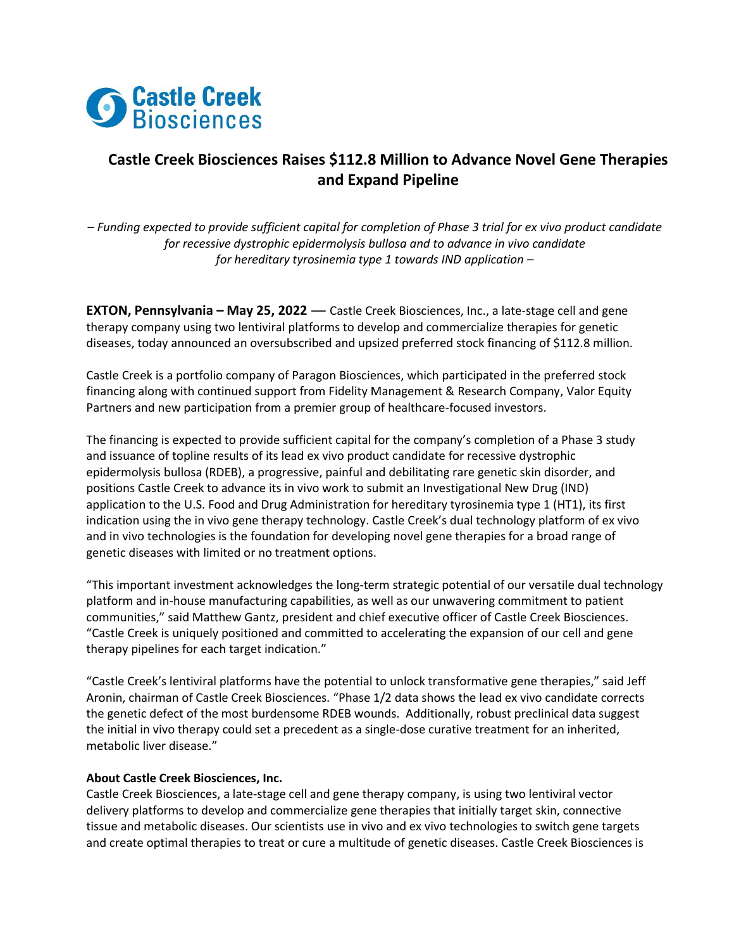

## **Castle Creek Biosciences Raises \$112.8 Million to Advance Novel Gene Therapies and Expand Pipeline**

*– Funding expected to provide sufficient capital for completion of Phase 3 trial for ex vivo product candidate for recessive dystrophic epidermolysis bullosa and to advance in vivo candidate for hereditary tyrosinemia type 1 towards IND application –*

**EXTON, Pennsylvania – May 25, 2022** — Castle Creek Biosciences, Inc., a late-stage cell and gene therapy company using two lentiviral platforms to develop and commercialize therapies for genetic diseases, today announced an oversubscribed and upsized preferred stock financing of \$112.8 million.

Castle Creek is a portfolio company of Paragon Biosciences, which participated in the preferred stock financing along with continued support from Fidelity Management & Research Company, Valor Equity Partners and new participation from a premier group of healthcare-focused investors.

The financing is expected to provide sufficient capital for the company's completion of a Phase 3 study and issuance of topline results of its lead ex vivo product candidate for recessive dystrophic epidermolysis bullosa (RDEB), a progressive, painful and debilitating rare genetic skin disorder, and positions Castle Creek to advance its in vivo work to submit an Investigational New Drug (IND) application to the U.S. Food and Drug Administration for hereditary tyrosinemia type 1 (HT1), its first indication using the in vivo gene therapy technology. Castle Creek's dual technology platform of ex vivo and in vivo technologies is the foundation for developing novel gene therapies for a broad range of genetic diseases with limited or no treatment options.

"This important investment acknowledges the long-term strategic potential of our versatile dual technology platform and in-house manufacturing capabilities, as well as our unwavering commitment to patient communities," said Matthew Gantz, president and chief executive officer of Castle Creek Biosciences. "Castle Creek is uniquely positioned and committed to accelerating the expansion of our cell and gene therapy pipelines for each target indication."

"Castle Creek's lentiviral platforms have the potential to unlock transformative gene therapies," said Jeff Aronin, chairman of Castle Creek Biosciences. "Phase 1/2 data shows the lead ex vivo candidate corrects the genetic defect of the most burdensome RDEB wounds. Additionally, robust preclinical data suggest the initial in vivo therapy could set a precedent as a single-dose curative treatment for an inherited, metabolic liver disease."

## **About Castle Creek Biosciences, Inc.**

Castle Creek Biosciences, a late-stage cell and gene therapy company, is using two lentiviral vector delivery platforms to develop and commercialize gene therapies that initially target skin, connective tissue and metabolic diseases. Our scientists use in vivo and ex vivo technologies to switch gene targets and create optimal therapies to treat or cure a multitude of genetic diseases. Castle Creek Biosciences is